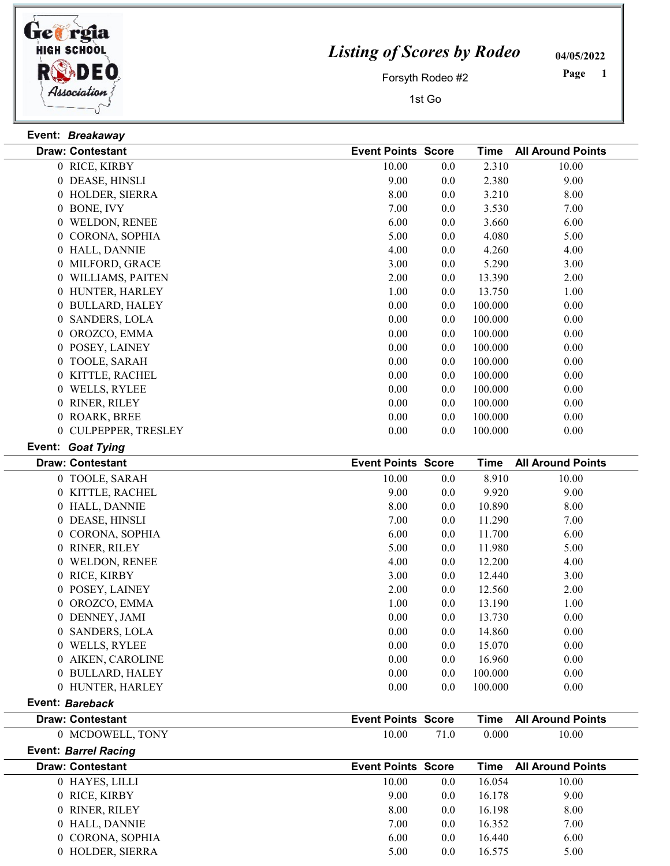

## Listing of Scores by Rodeo

04/05/2022

Forsyth Rodeo #2

1st Go

 Page

| Event: Breakaway        |                           |         |             |                          |
|-------------------------|---------------------------|---------|-------------|--------------------------|
| <b>Draw: Contestant</b> | <b>Event Points Score</b> |         | <b>Time</b> | <b>All Around Points</b> |
| 0 RICE, KIRBY           | 10.00                     | 0.0     | 2.310       | 10.00                    |
| 0 DEASE, HINSLI         | 9.00                      | 0.0     | 2.380       | 9.00                     |
| 0 HOLDER, SIERRA        | 8.00                      | $0.0\,$ | 3.210       | 8.00                     |
| 0 BONE, IVY             | 7.00                      | 0.0     | 3.530       | 7.00                     |
| 0 WELDON, RENEE         | 6.00                      | $0.0\,$ | 3.660       | 6.00                     |
| 0 CORONA, SOPHIA        | 5.00                      | 0.0     | 4.080       | 5.00                     |
| 0 HALL, DANNIE          | 4.00                      | $0.0\,$ | 4.260       | 4.00                     |
| 0 MILFORD, GRACE        | 3.00                      | 0.0     | 5.290       | 3.00                     |
| 0 WILLIAMS, PAITEN      | 2.00                      | 0.0     | 13.390      | 2.00                     |
| 0 HUNTER, HARLEY        | 1.00                      | 0.0     | 13.750      | 1.00                     |
| 0 BULLARD, HALEY        | 0.00                      | 0.0     | 100.000     | 0.00                     |
| 0 SANDERS, LOLA         | $0.00\,$                  | $0.0\,$ | 100.000     | $0.00\,$                 |
| 0 OROZCO, EMMA          | 0.00                      | 0.0     | 100.000     | 0.00                     |
| 0 POSEY, LAINEY         | $0.00\,$                  | $0.0\,$ | 100.000     | $0.00\,$                 |
| 0 TOOLE, SARAH          | 0.00                      | 0.0     | 100.000     | 0.00                     |
| 0 KITTLE, RACHEL        | 0.00                      | 0.0     | 100.000     | 0.00                     |
| 0 WELLS, RYLEE          | $0.00\,$                  | 0.0     | 100.000     | 0.00                     |
| 0 RINER, RILEY          | $0.00\,$                  | 0.0     | 100.000     | 0.00                     |
| 0 ROARK, BREE           | $0.00\,$                  | $0.0\,$ | 100.000     | 0.00                     |
| 0 CULPEPPER, TRESLEY    | 0.00                      | 0.0     | 100.000     | 0.00                     |
| Event: Goat Tying       |                           |         |             |                          |
| <b>Draw: Contestant</b> | <b>Event Points Score</b> |         | <b>Time</b> | <b>All Around Points</b> |
| 0 TOOLE, SARAH          | 10.00                     | 0.0     | 8.910       | 10.00                    |
| 0 KITTLE, RACHEL        | 9.00                      | 0.0     | 9.920       | 9.00                     |
| 0 HALL, DANNIE          | 8.00                      | 0.0     | 10.890      | 8.00                     |
| 0 DEASE, HINSLI         | 7.00                      | 0.0     | 11.290      | 7.00                     |
| 0 CORONA, SOPHIA        | 6.00                      | 0.0     | 11.700      | 6.00                     |
| 0 RINER, RILEY          | 5.00                      | 0.0     | 11.980      | 5.00                     |
| 0 WELDON, RENEE         | 4.00                      | 0.0     | 12.200      | 4.00                     |
| 0 RICE, KIRBY           | 3.00                      | 0.0     | 12.440      | 3.00                     |
| 0 POSEY, LAINEY         | 2.00                      | $0.0\,$ | 12.560      | 2.00                     |
| 0 OROZCO, EMMA          | 1.00                      | 0.0     | 13.190      | 1.00                     |
| 0 DENNEY, JAMI          | $0.00\,$                  | $0.0\,$ | 13.730      | $0.00\,$                 |
| 0 SANDERS, LOLA         | 0.00                      | 0.0     | 14.860      | $0.00\,$                 |
| 0 WELLS, RYLEE          | 0.00                      | 0.0     | 15.070      | $0.00\,$                 |
| 0 AIKEN, CAROLINE       | 0.00                      | 0.0     | 16.960      | 0.00                     |
| 0 BULLARD, HALEY        | 0.00                      | $0.0\,$ | 100.000     | 0.00                     |
| 0 HUNTER, HARLEY        | 0.00                      | 0.0     | 100.000     | 0.00                     |

Event: Bareback

| <b>Draw: Contestant</b> | <b>Event Points Score</b> | Time          | <b>All Around Points</b> |
|-------------------------|---------------------------|---------------|--------------------------|
| MCDOWELL, TONY          | 10.00                     | 0.000<br>71.0 | 10.00                    |

Event: Barrel Racing

| <b>Draw: Contestant</b> | <b>Event Points Score</b> |     | Time   | <b>All Around Points</b> |
|-------------------------|---------------------------|-----|--------|--------------------------|
| 0 HAYES, LILLI          | 10.00                     | 0.0 | 16.054 | 10.00                    |
| 0 RICE, KIRBY           | 9.00                      | 0.0 | 16.178 | 9.00                     |
| 0 RINER, RILEY          | 8.00                      | 0.0 | 16.198 | 8.00                     |
| 0 HALL, DANNIE          | 7.00                      | 0.0 | 16.352 | 7.00                     |
| 0 CORONA, SOPHIA        | 6.00                      | 0.0 | 16.440 | 6.00                     |
| 0 HOLDER, SIERRA        | 5.00                      | 0.0 | 16.575 | 5.00                     |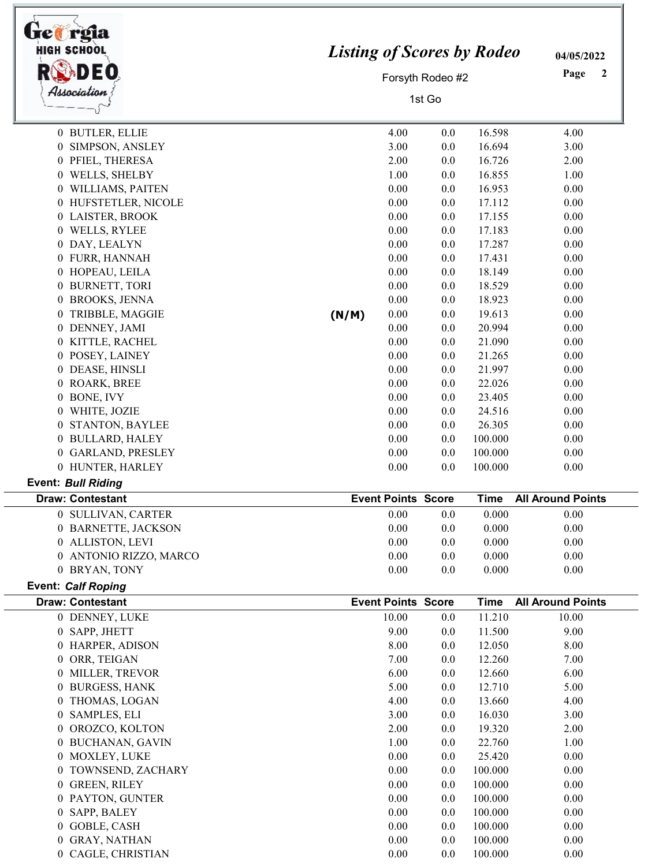| trea rgia<br><b>HIGH SCHOOL</b><br>Association | <b>Listing of Scores by Rodeo</b> |                           | Forsyth Rodeo #2<br>1st Go |                  | 04/05/2022<br>Page<br>2  |
|------------------------------------------------|-----------------------------------|---------------------------|----------------------------|------------------|--------------------------|
| 0 BUTLER, ELLIE                                |                                   | 4.00                      | 0.0                        | 16.598           | 4.00                     |
| 0 SIMPSON, ANSLEY                              |                                   | 3.00                      | 0.0                        | 16.694           | 3.00                     |
| 0 PFIEL, THERESA                               |                                   | 2.00                      | 0.0                        | 16.726           | 2.00                     |
| 0 WELLS, SHELBY                                |                                   | 1.00                      | 0.0                        | 16.855           | 1.00                     |
| 0 WILLIAMS, PAITEN                             |                                   | 0.00                      | 0.0                        | 16.953           | 0.00                     |
| 0 HUFSTETLER, NICOLE                           |                                   | 0.00                      | 0.0                        | 17.112           | 0.00                     |
| 0 LAISTER, BROOK                               |                                   | $0.00\,$                  | 0.0                        | 17.155           | 0.00                     |
| 0 WELLS, RYLEE                                 |                                   | 0.00<br>0.00              | 0.0                        | 17.183<br>17.287 | 0.00<br>0.00             |
| 0 DAY, LEALYN<br>0 FURR, HANNAH                |                                   | 0.00                      | 0.0<br>0.0                 | 17.431           | 0.00                     |
| 0 HOPEAU, LEILA                                |                                   | 0.00                      | 0.0                        | 18.149           | 0.00                     |
| 0 BURNETT, TORI                                |                                   | 0.00                      | 0.0                        | 18.529           | 0.00                     |
| 0 BROOKS, JENNA                                |                                   | 0.00                      | 0.0                        | 18.923           | 0.00                     |
| 0 TRIBBLE, MAGGIE                              | (N/M)                             | 0.00                      | 0.0                        | 19.613           | 0.00                     |
| 0 DENNEY, JAMI                                 |                                   | 0.00                      | 0.0                        | 20.994           | 0.00                     |
| 0 KITTLE, RACHEL                               |                                   | 0.00                      | 0.0                        | 21.090           | 0.00                     |
| 0 POSEY, LAINEY                                |                                   | 0.00                      | 0.0                        | 21.265           | 0.00                     |
| 0 DEASE, HINSLI                                |                                   | 0.00                      | 0.0                        | 21.997           | 0.00                     |
| 0 ROARK, BREE                                  |                                   | 0.00                      | 0.0                        | 22.026           | 0.00                     |
| BONE, IVY<br>$\overline{0}$                    |                                   | 0.00                      | 0.0                        | 23.405           | 0.00                     |
| WHITE, JOZIE<br>$\overline{0}$                 |                                   | 0.00                      | 0.0                        | 24.516           | 0.00                     |
| 0 STANTON, BAYLEE                              |                                   | 0.00                      | 0.0                        | 26.305           | 0.00                     |
| 0 BULLARD, HALEY                               |                                   | 0.00                      | 0.0                        | 100.000          | 0.00                     |
| 0 GARLAND, PRESLEY                             |                                   | 0.00                      | 0.0                        | 100.000          | 0.00                     |
| 0 HUNTER, HARLEY                               |                                   | 0.00                      | 0.0                        | 100.000          | 0.00                     |
| <b>Event: Bull Riding</b>                      |                                   |                           |                            |                  |                          |
| <b>Draw: Contestant</b>                        |                                   | <b>Event Points Score</b> |                            | Time             | <b>All Around Points</b> |
| 0 SULLIVAN, CARTER                             |                                   | 0.00                      | 0.0                        | 0.000            | 0.00                     |
| 0 BARNETTE, JACKSON                            |                                   | 0.00                      | 0.0                        | 0.000            | 0.00                     |
| 0 ALLISTON, LEVI                               |                                   | 0.00                      | 0.0                        | 0.000            | 0.00                     |
| 0 ANTONIO RIZZO, MARCO                         |                                   | 0.00                      | 0.0                        | 0.000            | 0.00                     |
| 0 BRYAN, TONY                                  |                                   | 0.00                      | 0.0                        | 0.000            | 0.00                     |
| <b>Event: Calf Roping</b>                      |                                   |                           |                            |                  |                          |
| <b>Draw: Contestant</b>                        |                                   | <b>Event Points Score</b> |                            | <b>Time</b>      | <b>All Around Points</b> |
| 0 DENNEY, LUKE                                 |                                   | 10.00                     | 0.0                        | 11.210           | 10.00                    |
| 0 SAPP, JHETT                                  |                                   | 9.00                      | 0.0                        | 11.500           | 9.00                     |
| 0 HARPER, ADISON<br>0 ORR, TEIGAN              |                                   | 8.00<br>7.00              | 0.0                        | 12.050<br>12.260 | 8.00<br>7.00             |
| 0 MILLER, TREVOR                               |                                   | 6.00                      | 0.0<br>0.0                 | 12.660           | 6.00                     |
| 0 BURGESS, HANK                                |                                   | 5.00                      | 0.0                        | 12.710           | 5.00                     |
| 0 THOMAS, LOGAN                                |                                   | 4.00                      | 0.0                        | 13.660           | 4.00                     |
| 0 SAMPLES, ELI                                 |                                   | 3.00                      | 0.0                        | 16.030           | 3.00                     |
| OROZCO, KOLTON<br>$\overline{0}$               |                                   | 2.00                      | 0.0                        | 19.320           | 2.00                     |
| 0 BUCHANAN, GAVIN                              |                                   | 1.00                      | 0.0                        | 22.760           | 1.00                     |
| 0 MOXLEY, LUKE                                 |                                   | 0.00                      | 0.0                        | 25.420           | 0.00                     |
| 0 TOWNSEND, ZACHARY                            |                                   | 0.00                      | 0.0                        | 100.000          | 0.00                     |
| 0 GREEN, RILEY                                 |                                   | 0.00                      | 0.0                        | 100.000          | 0.00                     |
| 0 PAYTON, GUNTER                               |                                   | 0.00                      | 0.0                        | 100.000          | 0.00                     |
| 0 SAPP, BALEY                                  |                                   | 0.00                      | 0.0                        | 100.000          | 0.00                     |
| 0 GOBLE, CASH                                  |                                   | 0.00                      | 0.0                        | 100.000          | 0.00                     |
| 0 GRAY, NATHAN                                 |                                   | $0.00\,$                  | 0.0                        | 100.000          | 0.00                     |
| 0 CAGLE, CHRISTIAN                             |                                   | 0.00                      | 0.0                        | 100.000          | 0.00                     |

-1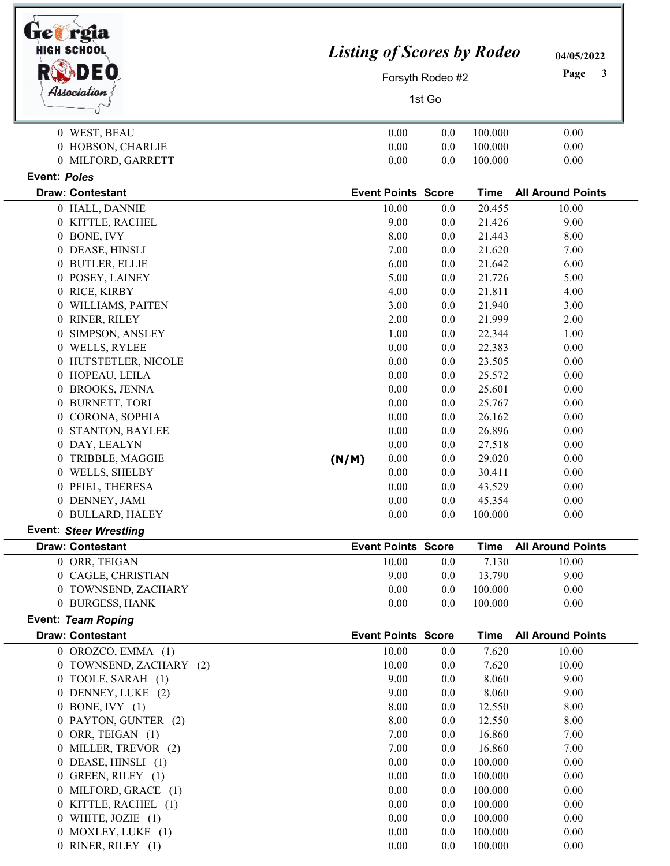| uctrgia<br><b>HIGH SCHOOL</b>             |        |                           | <b>Listing of Scores by Rodeo</b><br>Forsyth Rodeo #2 |                  | 04/05/2022<br>Page<br>3  |
|-------------------------------------------|--------|---------------------------|-------------------------------------------------------|------------------|--------------------------|
| Association                               | 1st Go |                           |                                                       |                  |                          |
| 0 WEST, BEAU                              |        | 0.00                      | 0.0                                                   | 100.000          | 0.00                     |
| 0 HOBSON, CHARLIE                         |        | 0.00                      | 0.0                                                   | 100.000          | 0.00                     |
| 0 MILFORD, GARRETT                        |        | 0.00                      | 0.0                                                   | 100.000          | 0.00                     |
| Event: Poles                              |        |                           |                                                       |                  |                          |
| <b>Draw: Contestant</b>                   |        | <b>Event Points Score</b> |                                                       | <b>Time</b>      | <b>All Around Points</b> |
| 0 HALL, DANNIE                            |        | 10.00                     | 0.0                                                   | 20.455           | 10.00                    |
| 0 KITTLE, RACHEL                          |        | 9.00                      | 0.0                                                   | 21.426           | 9.00                     |
| 0 BONE, IVY                               |        | 8.00                      | 0.0                                                   | 21.443           | 8.00                     |
| 0 DEASE, HINSLI                           |        | 7.00                      | 0.0                                                   | 21.620           | 7.00                     |
| 0 BUTLER, ELLIE                           |        | 6.00                      | 0.0                                                   | 21.642           | 6.00                     |
| 0 POSEY, LAINEY                           |        | 5.00                      | 0.0                                                   | 21.726           | 5.00                     |
| 0 RICE, KIRBY                             |        | 4.00                      | 0.0                                                   | 21.811           | 4.00                     |
| WILLIAMS, PAITEN<br>0                     |        | 3.00                      | 0.0                                                   | 21.940           | 3.00                     |
| RINER, RILEY<br>0                         |        | 2.00                      | 0.0                                                   | 21.999           | 2.00                     |
| SIMPSON, ANSLEY<br>0                      |        | 1.00                      | 0.0                                                   | 22.344           | 1.00                     |
| 0 WELLS, RYLEE                            |        | 0.00                      | 0.0                                                   | 22.383           | 0.00                     |
| 0 HUFSTETLER, NICOLE<br>0 HOPEAU, LEILA   |        | 0.00<br>0.00              | 0.0<br>0.0                                            | 23.505<br>25.572 | 0.00<br>0.00             |
| 0 BROOKS, JENNA                           |        | 0.00                      | 0.0                                                   | 25.601           | 0.00                     |
| 0 BURNETT, TORI                           |        | 0.00                      | 0.0                                                   | 25.767           | 0.00                     |
| 0 CORONA, SOPHIA                          |        | 0.00                      | 0.0                                                   | 26.162           | 0.00                     |
| <b>STANTON, BAYLEE</b><br>0               |        | 0.00                      | 0.0                                                   | 26.896           | 0.00                     |
| 0 DAY, LEALYN                             |        | 0.00                      | 0.0                                                   | 27.518           | 0.00                     |
| TRIBBLE, MAGGIE<br>0                      | (N/M)  | 0.00                      | 0.0                                                   | 29.020           | 0.00                     |
| 0 WELLS, SHELBY                           |        | 0.00                      | 0.0                                                   | 30.411           | 0.00                     |
| 0 PFIEL, THERESA                          |        | 0.00                      | 0.0                                                   | 43.529           | 0.00                     |
| 0 DENNEY, JAMI                            |        | 0.00                      | 0.0                                                   | 45.354           | 0.00                     |
| 0 BULLARD, HALEY                          |        | 0.00                      | 0.0                                                   | 100.000          | 0.00                     |
| <b>Event: Steer Wrestling</b>             |        |                           |                                                       |                  |                          |
| <b>Draw: Contestant</b>                   |        | <b>Event Points Score</b> |                                                       | <b>Time</b>      | <b>All Around Points</b> |
| 0 ORR, TEIGAN                             |        | 10.00                     | 0.0                                                   | 7.130            | 10.00                    |
| 0 CAGLE, CHRISTIAN                        |        | 9.00                      | 0.0                                                   | 13.790           | 9.00                     |
| 0 TOWNSEND, ZACHARY                       |        | 0.00                      | 0.0                                                   | 100.000          | 0.00                     |
| 0 BURGESS, HANK                           |        | 0.00                      | 0.0                                                   | 100.000          | 0.00                     |
| Event: Team Roping                        |        |                           |                                                       |                  |                          |
| <b>Draw: Contestant</b>                   |        | <b>Event Points Score</b> |                                                       | <b>Time</b>      | <b>All Around Points</b> |
| $0$ OROZCO, EMMA $(1)$                    |        | 10.00                     | 0.0                                                   | 7.620            | 10.00                    |
| 0 TOWNSEND, ZACHARY (2)                   |        | 10.00                     | 0.0                                                   | 7.620            | 10.00                    |
| 0 TOOLE, SARAH (1)                        |        | 9.00                      | 0.0                                                   | 8.060            | 9.00                     |
| 0 DENNEY, LUKE (2)<br>$0$ BONE, IVY $(1)$ |        | 9.00<br>8.00              | 0.0<br>0.0                                            | 8.060<br>12.550  | 9.00<br>8.00             |
| 0 PAYTON, GUNTER (2)                      |        | 8.00                      | 0.0                                                   | 12.550           | 8.00                     |
| 0 ORR, TEIGAN (1)                         |        | 7.00                      | 0.0                                                   | 16.860           | 7.00                     |
| 0 MILLER, TREVOR (2)                      |        | 7.00                      | 0.0                                                   | 16.860           | 7.00                     |
| 0 DEASE, HINSLI (1)                       |        | 0.00                      | 0.0                                                   | 100.000          | 0.00                     |
| 0 GREEN, RILEY (1)                        |        | 0.00                      | 0.0                                                   | 100.000          | 0.00                     |
| 0 MILFORD, GRACE (1)                      |        | 0.00                      | 0.0                                                   | 100.000          | 0.00                     |
|                                           |        |                           |                                                       |                  |                          |

0 WHITE, JOZIE (1) 0.00 0.00 0.00 0.00 0.00 0.00  $\begin{array}{cccc} 0 & \text{MOXLEY, LUKE} & (1) & & & & 0.00 & & 0.0 & & 100.000 & & & 0.00 \\ 0 & \text{RINER, RILEY} & (1) & & & & 0.00 & & 0.0 & & 100.000 & & & 0.00 \\ \end{array}$ 

0 RINER, RILEY (1) 0.00 0.00 0.00 100.000